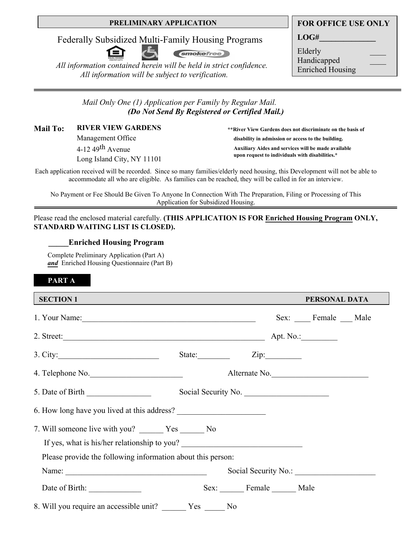#### **PRELIMINARY APPLICATION**

Federally Subsidized Multi-Family Housing Programs



*smokefree* 

 *All information contained herein will be held in strict confidence. All information will be subject to verification.* 

**LOG#\_\_\_\_\_\_\_\_\_\_\_\_\_\_** 

Elderly \_\_\_\_ Handicapped \_\_\_\_ Enriched Housing

|  | Mail Only One (1) Application per Family by Regular Mail. |                                                |
|--|-----------------------------------------------------------|------------------------------------------------|
|  |                                                           | (Do Not Send By Registered or Certified Mail.) |

**1DER VIEW GARDENS** \*\*River View Gardens does not discriminate on the basis of **RIVER VIEW GARDENS** 

> Management Office  $4-12$  49<sup>th</sup> Avenue Long Island City, NY 11101

**disability in admission or access to the building.** 

**Auxiliary Aides and services will be made available upon request to individuals with disabilities.\***

Each application received will be recorded. Since so many families/elderly need housing, this Development will not be able to accommodate all who are eligible. As families can be reached, they will be called in for an interview.

No Payment or Fee Should Be Given To Anyone In Connection With The Preparation, Filing or Processing of This Application for Subsidized Housing.

Please read the enclosed material carefully. **(THIS APPLICATION IS FOR Enriched Housing Program ONLY, STANDARD WAITING LIST IS CLOSED).**

#### **Enriched Housing Program**

Complete Preliminary Application (Part A) *and* Enriched Housing Questionnaire (Part B)

# **PART A**

| <b>SECTION 1</b>                                                                                                                                                                                                                                                                                                                                                                                              | PERSONAL DATA        |
|---------------------------------------------------------------------------------------------------------------------------------------------------------------------------------------------------------------------------------------------------------------------------------------------------------------------------------------------------------------------------------------------------------------|----------------------|
|                                                                                                                                                                                                                                                                                                                                                                                                               | Sex: Female Male     |
|                                                                                                                                                                                                                                                                                                                                                                                                               |                      |
| 3. City: $\qquad \qquad \qquad$                                                                                                                                                                                                                                                                                                                                                                               | State:<br>Zip:       |
| 4. Telephone No.                                                                                                                                                                                                                                                                                                                                                                                              | Alternate No.        |
|                                                                                                                                                                                                                                                                                                                                                                                                               | Social Security No.  |
|                                                                                                                                                                                                                                                                                                                                                                                                               |                      |
| If yes, what is his/her relationship to you?                                                                                                                                                                                                                                                                                                                                                                  |                      |
| Please provide the following information about this person:                                                                                                                                                                                                                                                                                                                                                   |                      |
| Name: $\frac{1}{\sqrt{1-\frac{1}{2}}\sqrt{1-\frac{1}{2}}\sqrt{1-\frac{1}{2}}\sqrt{1-\frac{1}{2}}\sqrt{1-\frac{1}{2}}\sqrt{1-\frac{1}{2}}\sqrt{1-\frac{1}{2}}\sqrt{1-\frac{1}{2}}\sqrt{1-\frac{1}{2}}\sqrt{1-\frac{1}{2}}\sqrt{1-\frac{1}{2}}\sqrt{1-\frac{1}{2}}\sqrt{1-\frac{1}{2}}\sqrt{1-\frac{1}{2}}\sqrt{1-\frac{1}{2}}\sqrt{1-\frac{1}{2}}\sqrt{1-\frac{1}{2}}\sqrt{1-\frac{1}{2}}\sqrt{1-\frac{1}{2}}$ | Social Security No.: |
|                                                                                                                                                                                                                                                                                                                                                                                                               | Sex: Female Male     |
| 8. Will you require an accessible unit? _______ Yes ______ No                                                                                                                                                                                                                                                                                                                                                 |                      |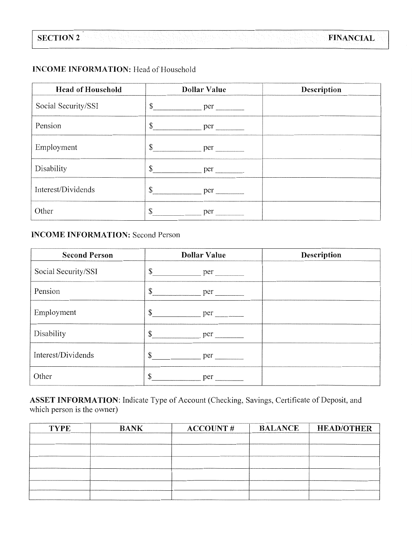# **INCOME INFORMATION:** Head of Household

| <b>Head of Household</b> | <b>Dollar Value</b> | Description |
|--------------------------|---------------------|-------------|
| Social Security/SSI      | $\mathbb{S}$<br>per |             |
| Pension                  | \$<br>per           |             |
| Employment               | \$<br>per           |             |
| Disability               | \$<br>per           |             |
| Interest/Dividends       | \$<br>per           |             |
| Other                    | per<br>ת.           |             |

# **INCOME INFORMATION: Second Person**

| <b>Second Person</b> | <b>Dollar Value</b>            | Description |
|----------------------|--------------------------------|-------------|
| Social Security/SSI  |                                |             |
| Pension              | \$<br>per                      |             |
| Employment           |                                |             |
| Disability           | $\frac{\text{ger}}{\text{er}}$ |             |
| Interest/Dividends   | \$<br>$per$ $\qquad \qquad$    |             |
| Other                | \$<br>per                      |             |

ASSET INFORMATION: Indicate Type of Account (Checking, Savings, Certificate of Deposit, and which person is the owner)

| <b>TYPE</b> | <b>BANK</b> | <b>ACCOUNT#</b> | <b>BALANCE</b> | <b>HEAD/OTHER</b> |
|-------------|-------------|-----------------|----------------|-------------------|
|             |             |                 |                |                   |
|             |             |                 |                |                   |
|             |             |                 |                |                   |
|             |             |                 |                |                   |
|             |             |                 |                |                   |
|             |             |                 |                |                   |
|             |             |                 |                |                   |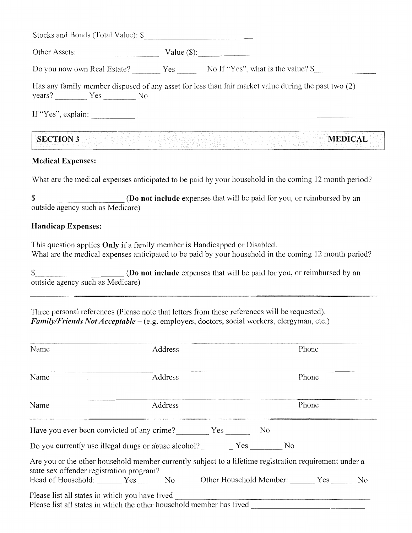| Other Assets: Value (\$): |                                                                                                     |
|---------------------------|-----------------------------------------------------------------------------------------------------|
|                           |                                                                                                     |
|                           | Has any family member disposed of any asset for less than fair market value during the past two (2) |
| $years?$ Yes No           |                                                                                                     |

## **Medical Expenses:**

What are the medical expenses anticipated to be paid by your household in the coming 12 month period?

(Do not include expenses that will be paid for you, or reimbursed by an \$ outside agency such as Medicare)

#### **Handicap Expenses:**

This question applies **Only** if a family member is Handicapped or Disabled. What are the medical expenses anticipated to be paid by your household in the coming 12 month period?

(Do not include expenses that will be paid for you, or reimbursed by an \$ outside agency such as Medicare)

Three personal references (Please note that letters from these references will be requested). Family/Friends Not Acceptable - (e.g. employers, doctors, social workers, clergyman, etc.)

| Name                                           | Address                                                                                                |  | Phone |  |
|------------------------------------------------|--------------------------------------------------------------------------------------------------------|--|-------|--|
| Name                                           | Address                                                                                                |  | Phone |  |
| Name                                           | Address                                                                                                |  | Phone |  |
|                                                |                                                                                                        |  |       |  |
|                                                | Do you currently use illegal drugs or abuse alcohol? Yes                                               |  | No    |  |
| state sex offender registration program?       | Are you or the other household member currently subject to a lifetime registration requirement under a |  |       |  |
|                                                | Head of Household: Yes No Other Household Member: Yes No                                               |  |       |  |
| Please list all states in which you have lived | Please list all states in which the other household member has lived                                   |  |       |  |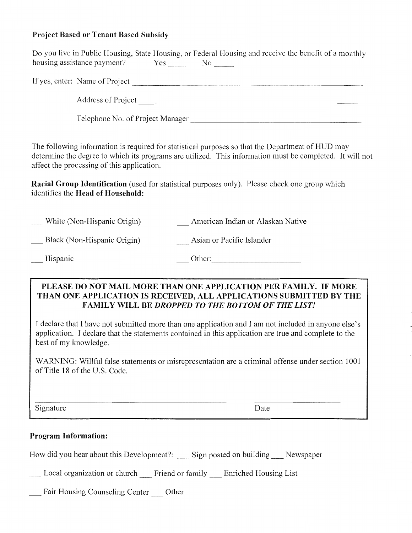# **Project Based or Tenant Based Subsidy**

| best of my knowledge.<br>of Title 18 of the U.S. Code. |                                            | WARNING: Willful false statements or misrepresentation are a criminal offense under section 1001                                                                                                              |
|--------------------------------------------------------|--------------------------------------------|---------------------------------------------------------------------------------------------------------------------------------------------------------------------------------------------------------------|
|                                                        |                                            |                                                                                                                                                                                                               |
|                                                        |                                            | I declare that I have not submitted more than one application and I am not included in anyone else's<br>application. I declare that the statements contained in this application are true and complete to the |
|                                                        |                                            | PLEASE DO NOT MAIL MORE THAN ONE APPLICATION PER FAMILY. IF MORE<br>THAN ONE APPLICATION IS RECEIVED, ALL APPLICATIONS SUBMITTED BY THE<br><b>FAMILY WILL BE DROPPED TO THE BOTTOM OF THE LIST!</b>           |
| Hispanic                                               |                                            | Other:                                                                                                                                                                                                        |
| Black (Non-Hispanic Origin)                            |                                            | Asian or Pacific Islander                                                                                                                                                                                     |
| White (Non-Hispanic Origin)                            |                                            | American Indian or Alaskan Native                                                                                                                                                                             |
|                                                        | identifies the Head of Household:          | Racial Group Identification (used for statistical purposes only). Please check one group which                                                                                                                |
|                                                        | affect the processing of this application. | The following information is required for statistical purposes so that the Department of HUD may<br>determine the degree to which its programs are utilized. This information must be completed. It will not  |
|                                                        |                                            | Telephone No. of Project Manager                                                                                                                                                                              |
|                                                        |                                            |                                                                                                                                                                                                               |
|                                                        |                                            |                                                                                                                                                                                                               |
|                                                        |                                            |                                                                                                                                                                                                               |
|                                                        |                                            | Do you live in Public Housing, State Housing, or Federal Housing and receive the benefit of a monthly                                                                                                         |

How did you hear about this Development?: \_\_ Sign posted on building \_\_ Newspaper

Local organization or church \_\_ Friend or family \_\_ Enriched Housing List

\_\_ Fair Housing Counseling Center \_\_ Other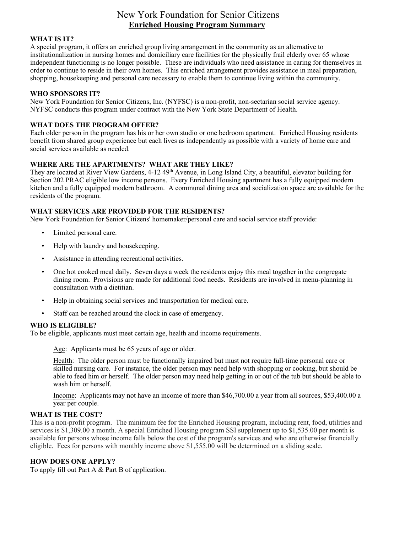# New York Foundation for Senior Citizens **Enriched Housing Program Summary**

#### **WHAT IS IT?**

A special program, it offers an enriched group living arrangement in the community as an alternative to institutionalization in nursing homes and domiciliary care facilities for the physically frail elderly over 65 whose independent functioning is no longer possible. These are individuals who need assistance in caring for themselves in order to continue to reside in their own homes. This enriched arrangement provides assistance in meal preparation, shopping, housekeeping and personal care necessary to enable them to continue living within the community.

#### **WHO SPONSORS IT?**

New York Foundation for Senior Citizens, Inc. (NYFSC) is a non-profit, non-sectarian social service agency. NYFSC conducts this program under contract with the New York State Department of Health.

#### **WHAT DOES THE PROGRAM OFFER?**

Each older person in the program has his or her own studio or one bedroom apartment. Enriched Housing residents benefit from shared group experience but each lives as independently as possible with a variety of home care and social services available as needed.

#### **WHERE ARE THE APARTMENTS? WHAT ARE THEY LIKE?**

They are located at River View Gardens, 4-12 49<sup>th</sup> Avenue, in Long Island City, a beautiful, elevator building for Section 202 PRAC eligible low income persons. Every Enriched Housing apartment has a fully equipped modern kitchen and a fully equipped modern bathroom. A communal dining area and socialization space are available for the residents of the program.

#### **WHAT SERVICES ARE PROVIDED FOR THE RESIDENTS?**

New York Foundation for Senior Citizens' homemaker/personal care and social service staff provide:

- Limited personal care.
- Help with laundry and housekeeping.
- Assistance in attending recreational activities.
- One hot cooked meal daily. Seven days a week the residents enjoy this meal together in the congregate dining room. Provisions are made for additional food needs. Residents are involved in menu-planning in consultation with a dietitian.
- Help in obtaining social services and transportation for medical care.
- Staff can be reached around the clock in case of emergency.

#### **WHO IS ELIGIBLE?**

To be eligible, applicants must meet certain age, health and income requirements.

Age: Applicants must be 65 years of age or older.

Health: The older person must be functionally impaired but must not require full-time personal care or skilled nursing care. For instance, the older person may need help with shopping or cooking, but should be able to feed him or herself. The older person may need help getting in or out of the tub but should be able to wash him or herself.

Income: Applicants may not have an income of more than \$46,700.00 a year from all sources, \$53,400.00 a year per couple.

#### **WHAT IS THE COST?**

This is a non-profit program. The minimum fee for the Enriched Housing program, including rent, food, utilities and services is \$1,309.00 a month. A special Enriched Housing program SSI supplement up to \$1,535.00 per month is available for persons whose income falls below the cost of the program's services and who are otherwise financially eligible. Fees for persons with monthly income above \$1,555.00 will be determined on a sliding scale.

#### **HOW DOES ONE APPLY?**

To apply fill out Part A & Part B of application.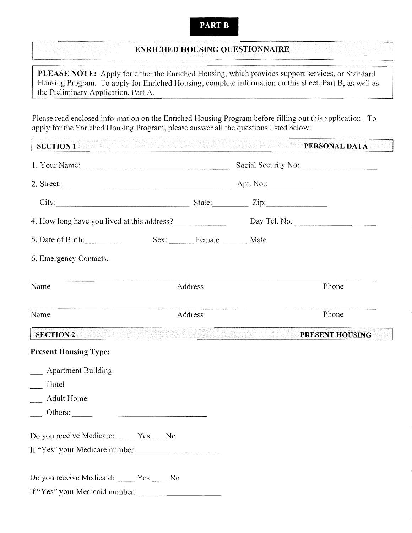#### **PART B**

# **ENRICHED HOUSING QUESTIONNAIRE**

PLEASE NOTE: Apply for either the Enriched Housing, which provides support services, or Standard Housing Program. To apply for Enriched Housing; complete information on this sheet, Part B, as well as the Preliminary Application, Part A.

Please read enclosed information on the Enriched Housing Program before filling out this application. To apply for the Enriched Housing Program, please answer all the questions listed below:

| SECTION 1 And the second control of the second control of the second control of the second control of the second control of the second control of the second control of the second control of the second control of the second |                          | ASHARATA                                             | PERSONAL DATA       |
|--------------------------------------------------------------------------------------------------------------------------------------------------------------------------------------------------------------------------------|--------------------------|------------------------------------------------------|---------------------|
|                                                                                                                                                                                                                                |                          |                                                      | Social Security No: |
|                                                                                                                                                                                                                                |                          |                                                      |                     |
| City: $\qquad \qquad$ State: $\qquad \qquad$ Zip:                                                                                                                                                                              |                          |                                                      |                     |
| 4. How long have you lived at this address? Day Tel. No. 2008. Day Tel. No.                                                                                                                                                    |                          |                                                      |                     |
| 5. Date of Birth:                                                                                                                                                                                                              | Sex: Female _______ Male |                                                      |                     |
| 6. Emergency Contacts:                                                                                                                                                                                                         |                          |                                                      |                     |
| Name                                                                                                                                                                                                                           | Address                  |                                                      | Phone               |
| Name                                                                                                                                                                                                                           | Address                  |                                                      | Phone               |
| <b>SECTION 2</b>                                                                                                                                                                                                               |                          | <u>KARA PERTAMPAT SERI BERGERAN MENERAL PERTAMPA</u> | PRESENT HOUSING     |
| <b>Present Housing Type:</b>                                                                                                                                                                                                   |                          |                                                      |                     |
| ___ Apartment Building                                                                                                                                                                                                         |                          |                                                      |                     |
| __ Hotel                                                                                                                                                                                                                       |                          |                                                      |                     |
| Adult Home                                                                                                                                                                                                                     |                          |                                                      |                     |
|                                                                                                                                                                                                                                |                          |                                                      |                     |
| Do you receive Medicare: _____ Yes ___ No                                                                                                                                                                                      |                          |                                                      |                     |
| If "Yes" your Medicare number:                                                                                                                                                                                                 |                          |                                                      |                     |
| Do you receive Medicaid: _____ Yes _____ No                                                                                                                                                                                    |                          |                                                      |                     |
| If "Yes" your Medicaid number:                                                                                                                                                                                                 |                          |                                                      |                     |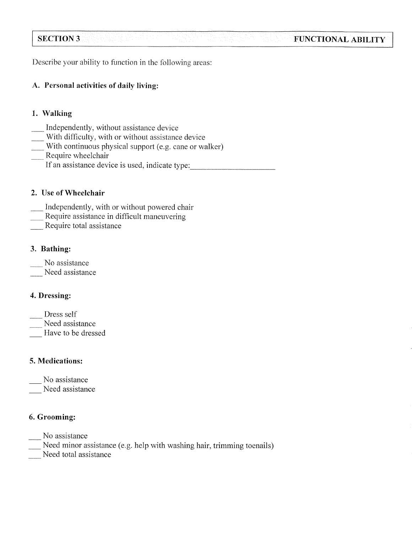# **SECTION 3**

Describe your ability to function in the following areas:

# A. Personal activities of daily living:

# 1. Walking

- Independently, without assistance device
- With difficulty, with or without assistance device
- With continuous physical support (e.g. cane or walker)
- Require wheelchair
	- If an assistance device is used, indicate type:

**FUNCTIONAL ABILITY** 

## 2. Use of Wheelchair

- Independently, with or without powered chair
- Require assistance in difficult maneuvering
- Require total assistance

# 3. Bathing:

- No assistance
- Need assistance

# 4. Dressing:

- Dress self
- Need assistance
- Have to be dressed

# 5. Medications:

No assistance

Need assistance

# 6. Grooming:

No assistance

Need minor assistance (e.g. help with washing hair, trimming toenails)

Need total assistance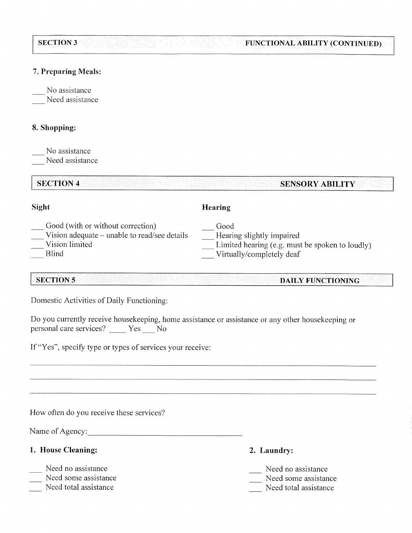#### **SECTION 3** FUNCTIONAL ABILITY (CONTINUED)

#### 7. Preparing Meals:

No assistance

Need assistance

## 8. Shopping:

No assistance

Need assistance

#### **SECTION 4 SENSORY ABILITY**

#### Sight

# Hearing

- Good (with or without correction)
- Vision adequate unable to read/see details
- Vision limited
- **Blind**
- Good
- Hearing slightly impaired
- Limited hearing (e.g. must be spoken to loudly)
- Virtually/completely deaf

#### **SECTION 5 DAILY FUNCTIONING**

Domestic Activities of Daily Functioning:

| Do you currently receive housekeeping, home assistance or assistance or any other housekeeping or |  |  |  |  |
|---------------------------------------------------------------------------------------------------|--|--|--|--|
| personal care services? Yes No                                                                    |  |  |  |  |

If "Yes", specify type or types of services your receive:

How often do you receive these services?

Name of Agency:

# 1. House Cleaning:

- Need no assistance
- Need some assistance
- Need total assistance
- 2. Laundry:
- Need no assistance
- Need some assistance
- Need total assistance